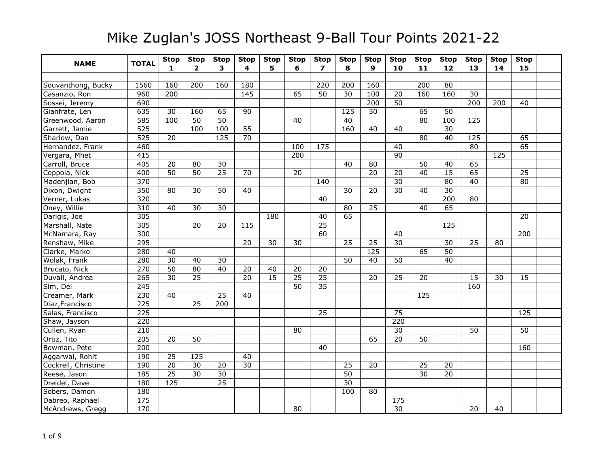| <b>NAME</b>         | <b>TOTAL</b>     | <b>Stop</b>     | <b>Stop</b>             | <b>Stop</b>           | <b>Stop</b>     | <b>Stop</b>     | <b>Stop</b>     | <b>Stop</b>     | <b>Stop</b>     | <b>Stop</b>     | <b>Stop</b>           | <b>Stop</b>           | <b>Stop</b>            | <b>Stop</b>            | <b>Stop</b> | <b>Stop</b>     |  |
|---------------------|------------------|-----------------|-------------------------|-----------------------|-----------------|-----------------|-----------------|-----------------|-----------------|-----------------|-----------------------|-----------------------|------------------------|------------------------|-------------|-----------------|--|
|                     |                  | 1               | $\overline{\mathbf{2}}$ | 3                     | 4               | 5               | 6               | $\overline{ }$  | 8               | 9               | 10                    | 11                    | 12                     | 13                     | 14          | 15              |  |
|                     |                  |                 |                         |                       |                 |                 |                 |                 |                 |                 |                       |                       |                        |                        |             |                 |  |
| Souvanthong, Bucky  | 1560             | 160             | 200                     | 160                   | 180             |                 |                 | 220             | 200             | 160             |                       | 200                   | 80                     |                        |             |                 |  |
| Casanzio, Ron       | 960<br>690       | 200             |                         |                       | 145             |                 | 65              | 50              | 30              | 100<br>200      | 20<br>$\overline{50}$ | 160                   | 160                    | 30<br>$\overline{200}$ |             |                 |  |
| Sossei, Jeremy      |                  |                 |                         |                       |                 |                 |                 |                 |                 |                 |                       |                       |                        |                        | 200         | 40              |  |
| Gianfrate, Len      | 635              | 30<br>100       | 160<br>$\overline{50}$  | 65<br>$\overline{50}$ | 90              |                 | $\overline{40}$ |                 | 125             | 50              |                       | 65<br>$\overline{80}$ | 50                     | $\frac{125}{2}$        |             |                 |  |
| Greenwood, Aaron    | 585              |                 | 100                     | 100                   | $\overline{55}$ |                 |                 |                 | 40<br>160       |                 |                       |                       | 100<br>$\overline{30}$ |                        |             |                 |  |
| Garrett, Jamie      | $\overline{525}$ |                 |                         |                       |                 |                 |                 |                 |                 | 40              | 40                    |                       |                        |                        |             |                 |  |
| Sharlow, Dan        | 525              | 20              |                         | 125                   | 70              |                 |                 |                 |                 |                 |                       | 80                    | 40                     | 125                    |             | 65              |  |
| Hernandez, Frank    | 460              |                 |                         |                       |                 |                 | 100             | 175             |                 |                 | 40                    |                       |                        | 80                     |             | 65              |  |
| Vergara, Mhet       | 415              |                 |                         |                       |                 |                 | 200             |                 |                 |                 | 90                    |                       |                        |                        | 125         |                 |  |
| Carroll, Bruce      | 405              | 20              | 80                      | 30                    |                 |                 |                 |                 | 40              | 80              |                       | 50                    | 40                     | 65                     |             |                 |  |
| Coppola, Nick       | 400              | $\overline{50}$ | $\overline{50}$         | $\overline{25}$       | 70              |                 | $\overline{20}$ |                 |                 | 20              | 20                    | $\overline{40}$       | 15                     | 65                     |             | $\overline{25}$ |  |
| Madenjian, Bob      | 370              |                 |                         |                       |                 |                 |                 | 140             |                 |                 | $\overline{30}$       |                       | 80                     | 40                     |             | 80              |  |
| Dixon, Dwight       | 350              | 80              | 30                      | 50                    | 40              |                 |                 |                 | 30              | 20              | 30                    | 40                    | $\overline{30}$        |                        |             |                 |  |
| Verner, Lukas       | 320              |                 |                         |                       |                 |                 |                 | 40              |                 |                 |                       |                       | 200                    | 80                     |             |                 |  |
| Oney, Willie        | 310              | 40              | $\overline{30}$         | 30                    |                 |                 |                 |                 | $\overline{80}$ | $\overline{25}$ |                       | 40                    | 65                     |                        |             |                 |  |
| Darigis, Joe        | 305              |                 |                         |                       |                 | 180             |                 | 40              | 65              |                 |                       |                       |                        |                        |             | 20              |  |
| Marshall, Nate      | 305              |                 | 20                      | 20                    | 115             |                 |                 | $\overline{25}$ |                 |                 |                       |                       | 125                    |                        |             |                 |  |
| McNamara, Ray       | 300              |                 |                         |                       |                 |                 |                 | 60              |                 |                 | 40                    |                       |                        |                        |             | 200             |  |
| Renshaw, Mike       | 295              |                 |                         |                       | 20              | 30              | 30              |                 | 25              | 25              | 30                    |                       | 30                     | 25                     | 80          |                 |  |
| Clarke, Marko       | 280              | 40              |                         |                       |                 |                 |                 |                 |                 | $\frac{125}{ }$ |                       | 65                    | $\overline{50}$        |                        |             |                 |  |
| Wolak, Frank        | 280              | $\overline{30}$ | 40                      | 30                    |                 |                 |                 |                 | $\overline{50}$ | 40              | $\overline{50}$       |                       | $\overline{40}$        |                        |             |                 |  |
| Brucato, Nick       | 270              | $\overline{50}$ | 80                      | 40                    | 20              | 40              | 20              | 20              |                 |                 |                       |                       |                        |                        |             |                 |  |
| Duvall, Andrea      | $\overline{265}$ | $\overline{30}$ | $\overline{25}$         |                       | $\overline{20}$ | $\overline{15}$ | $\overline{25}$ | $\overline{25}$ |                 | 20              | 25                    | 20                    |                        | 15                     | 30          | 15              |  |
| Sim, Del            | 245              |                 |                         |                       |                 |                 | 50              | $\overline{35}$ |                 |                 |                       |                       |                        | 160                    |             |                 |  |
| Creamer, Mark       | 230              | 40              |                         | 25                    | 40              |                 |                 |                 |                 |                 |                       | 125                   |                        |                        |             |                 |  |
| Diaz, Francisco     | 225              |                 | 25                      | 200                   |                 |                 |                 |                 |                 |                 |                       |                       |                        |                        |             |                 |  |
| Salas, Francisco    | 225              |                 |                         |                       |                 |                 |                 | $\overline{25}$ |                 |                 | $\overline{75}$       |                       |                        |                        |             | $\frac{125}{2}$ |  |
| Shaw, Jayson        | 220              |                 |                         |                       |                 |                 |                 |                 |                 |                 | 220                   |                       |                        |                        |             |                 |  |
| Cullen, Ryan        | 210              |                 |                         |                       |                 |                 | 80              |                 |                 |                 | 30                    |                       |                        | 50                     |             | 50              |  |
| Ortiz, Tito         | $\overline{205}$ | 20              | $\overline{50}$         |                       |                 |                 |                 |                 |                 | 65              | 20                    | 50                    |                        |                        |             |                 |  |
| Bowman, Pete        | 200              |                 |                         |                       |                 |                 |                 | 40              |                 |                 |                       |                       |                        |                        |             | 160             |  |
| Aggarwal, Rohit     | 190              | $\overline{25}$ | $\frac{125}{2}$         |                       | 40              |                 |                 |                 |                 |                 |                       |                       |                        |                        |             |                 |  |
| Cockrell, Christine | 190              | $\overline{20}$ | $\overline{30}$         | $\overline{20}$       | 30              |                 |                 |                 | $\overline{25}$ | $\overline{20}$ |                       | $\overline{25}$       | $\overline{20}$        |                        |             |                 |  |
| Reese, Jason        | 185              | $\overline{25}$ | $\overline{30}$         | 30                    |                 |                 |                 |                 | 50              |                 |                       | $\overline{30}$       | 20                     |                        |             |                 |  |
| Dreidel, Dave       | 180              | $\frac{125}{2}$ |                         | $\overline{25}$       |                 |                 |                 |                 | $\overline{30}$ |                 |                       |                       |                        |                        |             |                 |  |
| Sobers, Damon       | 180              |                 |                         |                       |                 |                 |                 |                 | 100             | 80              |                       |                       |                        |                        |             |                 |  |
| Dabreo, Raphael     | $\frac{175}{2}$  |                 |                         |                       |                 |                 |                 |                 |                 |                 | 175                   |                       |                        |                        |             |                 |  |
| McAndrews, Gregg    | 170              |                 |                         |                       |                 |                 | 80              |                 |                 |                 | $\overline{30}$       |                       |                        | $\overline{20}$        | 40          |                 |  |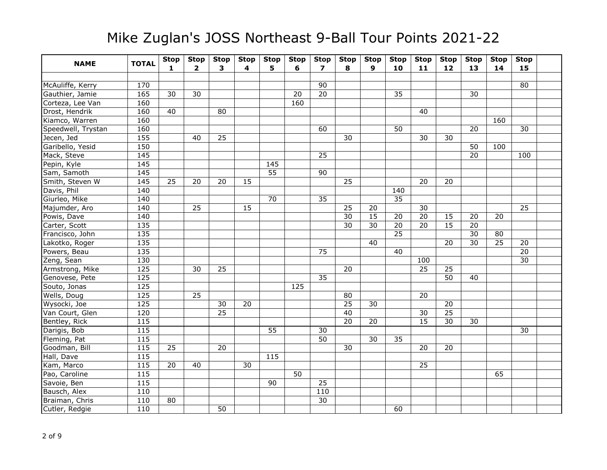| <b>NAME</b>        | <b>TOTAL</b>      | <b>Stop</b><br>$\mathbf{1}$ | <b>Stop</b><br>$\mathbf{2}$ | <b>Stop</b><br>3 | <b>Stop</b><br>4 | <b>Stop</b><br>5. | <b>Stop</b><br>6 | <b>Stop</b><br>$\overline{ }$ | <b>Stop</b><br>8 | <b>Stop</b><br>9 | <b>Stop</b><br>10 | <b>Stop</b><br>11 | <b>Stop</b><br>$12$ | <b>Stop</b><br>13 | <b>Stop</b><br>14 | <b>Stop</b><br>15 |  |
|--------------------|-------------------|-----------------------------|-----------------------------|------------------|------------------|-------------------|------------------|-------------------------------|------------------|------------------|-------------------|-------------------|---------------------|-------------------|-------------------|-------------------|--|
|                    |                   |                             |                             |                  |                  |                   |                  |                               |                  |                  |                   |                   |                     |                   |                   |                   |  |
| McAuliffe, Kerry   | 170               |                             |                             |                  |                  |                   |                  | 90                            |                  |                  |                   |                   |                     |                   |                   | 80                |  |
| Gauthier, Jamie    | 165               | 30                          | 30                          |                  |                  |                   | 20               | $\overline{20}$               |                  |                  | 35                |                   |                     | 30                |                   |                   |  |
| Corteza, Lee Van   | 160               |                             |                             |                  |                  |                   | 160              |                               |                  |                  |                   |                   |                     |                   |                   |                   |  |
| Drost, Hendrik     | 160               | 40                          |                             | 80               |                  |                   |                  |                               |                  |                  |                   | 40                |                     |                   |                   |                   |  |
| Kiamco, Warren     | 160               |                             |                             |                  |                  |                   |                  |                               |                  |                  |                   |                   |                     |                   | 160               |                   |  |
| Speedwell, Trystan | 160               |                             |                             |                  |                  |                   |                  | 60                            |                  |                  | 50                |                   |                     | 20                |                   | 30                |  |
| Jecen, Jed         | 155               |                             | 40                          | $\overline{25}$  |                  |                   |                  |                               | 30               |                  |                   | $\overline{30}$   | 30                  |                   |                   |                   |  |
| Garibello, Yesid   | 150               |                             |                             |                  |                  |                   |                  |                               |                  |                  |                   |                   |                     | 50                | 100               |                   |  |
| Mack, Steve        | 145               |                             |                             |                  |                  |                   |                  | 25                            |                  |                  |                   |                   |                     | $\overline{20}$   |                   | 100               |  |
| Pepin, Kyle        | 145               |                             |                             |                  |                  | 145               |                  |                               |                  |                  |                   |                   |                     |                   |                   |                   |  |
| Sam, Samoth        | 145               |                             |                             |                  |                  | $\overline{55}$   |                  | $\overline{90}$               |                  |                  |                   |                   |                     |                   |                   |                   |  |
| Smith, Steven W    | 145               | 25                          | 20                          | 20               | 15               |                   |                  |                               | 25               |                  |                   | 20                | 20                  |                   |                   |                   |  |
| Davis, Phil        | 140               |                             |                             |                  |                  |                   |                  |                               |                  |                  | 140               |                   |                     |                   |                   |                   |  |
| Giurleo, Mike      | 140               |                             |                             |                  |                  | 70                |                  | 35                            |                  |                  | 35                |                   |                     |                   |                   |                   |  |
| Majumder, Aro      | 140               |                             | 25                          |                  | 15               |                   |                  |                               | 25               | 20               |                   | 30                |                     |                   |                   | 25                |  |
| Powis, Dave        | 140               |                             |                             |                  |                  |                   |                  |                               | 30               | 15               | 20                | 20                | 15                  | 20                | 20                |                   |  |
| Carter, Scott      | $\overline{135}$  |                             |                             |                  |                  |                   |                  |                               | $\overline{30}$  | 30               | $\overline{20}$   | $\overline{20}$   | $\overline{15}$     | 20                |                   |                   |  |
| Francisco, John    | 135               |                             |                             |                  |                  |                   |                  |                               |                  |                  | 25                |                   |                     | $\overline{30}$   | 80                |                   |  |
| Lakotko, Roger     | 135               |                             |                             |                  |                  |                   |                  |                               |                  | 40               |                   |                   | 20                  | 30                | 25                | 20                |  |
| Powers, Beau       | $\overline{135}$  |                             |                             |                  |                  |                   |                  | $\overline{75}$               |                  |                  | 40                |                   |                     |                   |                   | $\overline{20}$   |  |
| Zeng, Sean         | 130               |                             |                             |                  |                  |                   |                  |                               |                  |                  |                   | 100               |                     |                   |                   | $\overline{30}$   |  |
| Armstrong, Mike    | 125               |                             | $\overline{30}$             | $\overline{25}$  |                  |                   |                  |                               | $\overline{20}$  |                  |                   | $\overline{25}$   | $\overline{25}$     |                   |                   |                   |  |
| Genovese, Pete     | 125               |                             |                             |                  |                  |                   |                  | $\overline{35}$               |                  |                  |                   |                   | 50                  | 40                |                   |                   |  |
| Souto, Jonas       | 125               |                             |                             |                  |                  |                   | 125              |                               |                  |                  |                   |                   |                     |                   |                   |                   |  |
| Wells, Doug        | 125               |                             | 25                          |                  |                  |                   |                  |                               | 80               |                  |                   | 20                |                     |                   |                   |                   |  |
| Wysocki, Joe       | 125               |                             |                             | 30               | 20               |                   |                  |                               | $\overline{25}$  | 30               |                   |                   | 20                  |                   |                   |                   |  |
| Van Court, Glen    | 120               |                             |                             | $\overline{25}$  |                  |                   |                  |                               | 40               |                  |                   | 30                | $\overline{25}$     |                   |                   |                   |  |
| Bentley, Rick      | 115               |                             |                             |                  |                  |                   |                  |                               | $\overline{20}$  | 20               |                   | $\overline{15}$   | 30                  | 30                |                   |                   |  |
| Darigis, Bob       | 115               |                             |                             |                  |                  | 55                |                  | 30                            |                  |                  |                   |                   |                     |                   |                   | 30                |  |
| Fleming, Pat       | $\overline{115}$  |                             |                             |                  |                  |                   |                  | $\overline{50}$               |                  | $\overline{30}$  | 35                |                   |                     |                   |                   |                   |  |
| Goodman, Bill      | 115               | 25                          |                             | 20               |                  |                   |                  |                               | 30               |                  |                   | 20                | 20                  |                   |                   |                   |  |
| Hall, Dave         | 115               |                             |                             |                  |                  | 115               |                  |                               |                  |                  |                   |                   |                     |                   |                   |                   |  |
| Kam, Marco         | $\frac{115}{115}$ | $\overline{20}$             | 40                          |                  | 30               |                   |                  |                               |                  |                  |                   | $\overline{25}$   |                     |                   |                   |                   |  |
| Pao, Caroline      | 115               |                             |                             |                  |                  |                   | 50               |                               |                  |                  |                   |                   |                     |                   | 65                |                   |  |
| Savoie, Ben        | 115               |                             |                             |                  |                  | 90                |                  | 25                            |                  |                  |                   |                   |                     |                   |                   |                   |  |
| Bausch, Alex       | 110               |                             |                             |                  |                  |                   |                  | 110                           |                  |                  |                   |                   |                     |                   |                   |                   |  |
| Braiman, Chris     | 110               | 80                          |                             |                  |                  |                   |                  | $\overline{30}$               |                  |                  |                   |                   |                     |                   |                   |                   |  |
| Cutler, Redgie     | 110               |                             |                             | $\overline{50}$  |                  |                   |                  |                               |                  |                  | 60                |                   |                     |                   |                   |                   |  |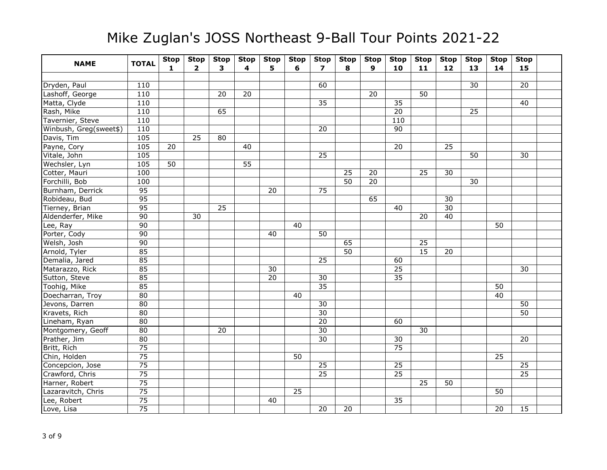| <b>NAME</b>            | <b>TOTAL</b>    | <b>Stop</b><br>$\mathbf{1}$ | <b>Stop</b><br>$\mathbf{2}$ | <b>Stop</b><br>$\overline{\mathbf{3}}$ | <b>Stop</b><br>4 | <b>Stop</b><br>5. | <b>Stop</b><br>6 | <b>Stop</b><br>$\overline{7}$ | <b>Stop</b><br>8 | <b>Stop</b><br>$\mathbf{9}$ | <b>Stop</b><br>10 | <b>Stop</b><br>11 | <b>Stop</b><br>12 | <b>Stop</b><br>13 | <b>Stop</b><br>14 | <b>Stop</b><br>15 |  |
|------------------------|-----------------|-----------------------------|-----------------------------|----------------------------------------|------------------|-------------------|------------------|-------------------------------|------------------|-----------------------------|-------------------|-------------------|-------------------|-------------------|-------------------|-------------------|--|
|                        |                 |                             |                             |                                        |                  |                   |                  |                               |                  |                             |                   |                   |                   |                   |                   |                   |  |
| Dryden, Paul           | 110             |                             |                             |                                        |                  |                   |                  | 60                            |                  |                             |                   |                   |                   | 30                |                   | 20                |  |
| Lashoff, George        | 110             |                             |                             | 20                                     | 20               |                   |                  |                               |                  | 20                          |                   | 50                |                   |                   |                   |                   |  |
| Matta, Clyde           | 110             |                             |                             |                                        |                  |                   |                  | 35                            |                  |                             | 35                |                   |                   |                   |                   | 40                |  |
| Rash, Mike             | 110             |                             |                             | 65                                     |                  |                   |                  |                               |                  |                             | $\overline{20}$   |                   |                   | 25                |                   |                   |  |
| Tavernier, Steve       | 110             |                             |                             |                                        |                  |                   |                  |                               |                  |                             | 110               |                   |                   |                   |                   |                   |  |
| Winbush, Greg(sweet\$) | 110             |                             |                             |                                        |                  |                   |                  | 20                            |                  |                             | $\overline{90}$   |                   |                   |                   |                   |                   |  |
| Davis, Tim             | 105             |                             | $\overline{25}$             | 80                                     |                  |                   |                  |                               |                  |                             |                   |                   |                   |                   |                   |                   |  |
| Payne, Cory            | 105             | 20                          |                             |                                        | 40               |                   |                  |                               |                  |                             | 20                |                   | $\overline{25}$   |                   |                   |                   |  |
| Vitale, John           | 105             |                             |                             |                                        |                  |                   |                  | 25                            |                  |                             |                   |                   |                   | 50                |                   | 30                |  |
| Wechsler, Lyn          | 105             | $\overline{50}$             |                             |                                        | $\overline{55}$  |                   |                  |                               |                  |                             |                   |                   |                   |                   |                   |                   |  |
| Cotter, Mauri          | 100             |                             |                             |                                        |                  |                   |                  |                               | $\overline{25}$  | 20                          |                   | $\overline{25}$   | 30                |                   |                   |                   |  |
| Forchilli, Bob         | 100             |                             |                             |                                        |                  |                   |                  |                               | 50               | 20                          |                   |                   |                   | 30                |                   |                   |  |
| Burnham, Derrick       | 95              |                             |                             |                                        |                  | 20                |                  | 75                            |                  |                             |                   |                   |                   |                   |                   |                   |  |
| Robideau, Bud          | 95              |                             |                             |                                        |                  |                   |                  |                               |                  | 65                          |                   |                   | 30                |                   |                   |                   |  |
| Tierney, Brian         | 95              |                             |                             | 25                                     |                  |                   |                  |                               |                  |                             | 40                |                   | $\overline{30}$   |                   |                   |                   |  |
| Aldenderfer, Mike      | $\overline{90}$ |                             | 30                          |                                        |                  |                   |                  |                               |                  |                             |                   | 20                | 40                |                   |                   |                   |  |
| Lee, Ray               | 90              |                             |                             |                                        |                  |                   | 40               |                               |                  |                             |                   |                   |                   |                   | 50                |                   |  |
| Porter, Cody           | 90              |                             |                             |                                        |                  | 40                |                  | 50                            |                  |                             |                   |                   |                   |                   |                   |                   |  |
| Welsh, Josh            | 90              |                             |                             |                                        |                  |                   |                  |                               | 65               |                             |                   | 25                |                   |                   |                   |                   |  |
| Arnold, Tyler          | 85              |                             |                             |                                        |                  |                   |                  |                               | 50               |                             |                   | $\overline{15}$   | 20                |                   |                   |                   |  |
| Demalia, Jared         | 85              |                             |                             |                                        |                  |                   |                  | 25                            |                  |                             | 60                |                   |                   |                   |                   |                   |  |
| Matarazzo, Rick        | 85              |                             |                             |                                        |                  | $\overline{30}$   |                  |                               |                  |                             | $\overline{25}$   |                   |                   |                   |                   | 30                |  |
| Sutton, Steve          | 85              |                             |                             |                                        |                  | 20                |                  | 30                            |                  |                             | $\overline{35}$   |                   |                   |                   |                   |                   |  |
| Toohig, Mike           | 85              |                             |                             |                                        |                  |                   |                  | $\overline{35}$               |                  |                             |                   |                   |                   |                   | 50                |                   |  |
| Doecharran, Troy       | 80              |                             |                             |                                        |                  |                   | 40               |                               |                  |                             |                   |                   |                   |                   | $\overline{40}$   |                   |  |
| Jevons, Darren         | 80              |                             |                             |                                        |                  |                   |                  | 30                            |                  |                             |                   |                   |                   |                   |                   | 50                |  |
| Kravets, Rich          | $\overline{80}$ |                             |                             |                                        |                  |                   |                  | $\overline{30}$               |                  |                             |                   |                   |                   |                   |                   | 50                |  |
| Lineham, Ryan          | 80              |                             |                             |                                        |                  |                   |                  | 20                            |                  |                             | 60                |                   |                   |                   |                   |                   |  |
| Montgomery, Geoff      | 80              |                             |                             | 20                                     |                  |                   |                  | $\overline{30}$               |                  |                             |                   | 30                |                   |                   |                   |                   |  |
| Prather, Jim           | $\overline{80}$ |                             |                             |                                        |                  |                   |                  | $\overline{30}$               |                  |                             | 30                |                   |                   |                   |                   | 20                |  |
| Britt, Rich            | $\overline{75}$ |                             |                             |                                        |                  |                   |                  |                               |                  |                             | $\overline{75}$   |                   |                   |                   |                   |                   |  |
| Chin, Holden           | $\overline{75}$ |                             |                             |                                        |                  |                   | 50               |                               |                  |                             |                   |                   |                   |                   | 25                |                   |  |
| Concepcion, Jose       | 75              |                             |                             |                                        |                  |                   |                  | 25                            |                  |                             | $\overline{25}$   |                   |                   |                   |                   | $\overline{25}$   |  |
| Crawford, Chris        | $\overline{75}$ |                             |                             |                                        |                  |                   |                  | $\overline{25}$               |                  |                             | $\overline{25}$   |                   |                   |                   |                   | $\overline{25}$   |  |
| Harner, Robert         | $\overline{75}$ |                             |                             |                                        |                  |                   |                  |                               |                  |                             |                   | 25                | 50                |                   |                   |                   |  |
| Lazaravitch, Chris     | $\overline{75}$ |                             |                             |                                        |                  |                   | 25               |                               |                  |                             |                   |                   |                   |                   | 50                |                   |  |
| Lee, Robert            | $\overline{75}$ |                             |                             |                                        |                  | 40                |                  |                               |                  |                             | 35                |                   |                   |                   |                   |                   |  |
| Love, Lisa             | 75              |                             |                             |                                        |                  |                   |                  | 20                            | $\overline{20}$  |                             |                   |                   |                   |                   | 20                | 15                |  |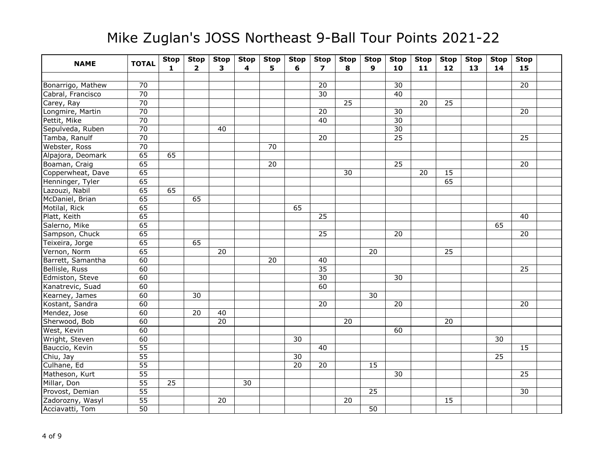| <b>NAME</b>       | <b>TOTAL</b>    | <b>Stop</b><br>$\mathbf{1}$ | <b>Stop</b><br>$\overline{2}$ | <b>Stop</b><br>3 | <b>Stop</b><br>4 | <b>Stop</b><br>5 | <b>Stop</b><br>6 | <b>Stop</b><br>$\overline{ }$ | <b>Stop</b><br>8 | <b>Stop</b><br>$\mathbf{9}$ | <b>Stop</b><br>10 | <b>Stop</b><br>11 | <b>Stop</b><br>$12$ | <b>Stop</b><br>13 | <b>Stop</b><br>14 | <b>Stop</b><br>15 |  |
|-------------------|-----------------|-----------------------------|-------------------------------|------------------|------------------|------------------|------------------|-------------------------------|------------------|-----------------------------|-------------------|-------------------|---------------------|-------------------|-------------------|-------------------|--|
|                   |                 |                             |                               |                  |                  |                  |                  |                               |                  |                             |                   |                   |                     |                   |                   |                   |  |
| Bonarrigo, Mathew | 70              |                             |                               |                  |                  |                  |                  | 20                            |                  |                             | 30                |                   |                     |                   |                   | 20                |  |
| Cabral, Francisco | 70              |                             |                               |                  |                  |                  |                  | 30                            |                  |                             | 40                |                   |                     |                   |                   |                   |  |
| Carey, Ray        | 70              |                             |                               |                  |                  |                  |                  |                               | 25               |                             |                   | 20                | 25                  |                   |                   |                   |  |
| Longmire, Martin  | $\overline{70}$ |                             |                               |                  |                  |                  |                  | 20                            |                  |                             | 30                |                   |                     |                   |                   | 20                |  |
| Pettit, Mike      | $\overline{70}$ |                             |                               |                  |                  |                  |                  | 40                            |                  |                             | 30                |                   |                     |                   |                   |                   |  |
| Sepulveda, Ruben  | $\overline{70}$ |                             |                               | 40               |                  |                  |                  |                               |                  |                             | 30                |                   |                     |                   |                   |                   |  |
| Tamba, Ranulf     | $\overline{70}$ |                             |                               |                  |                  |                  |                  | 20                            |                  |                             | $\overline{25}$   |                   |                     |                   |                   | 25                |  |
| Webster, Ross     | $\overline{70}$ |                             |                               |                  |                  | 70               |                  |                               |                  |                             |                   |                   |                     |                   |                   |                   |  |
| Alpajora, Deomark | 65              | 65                          |                               |                  |                  |                  |                  |                               |                  |                             |                   |                   |                     |                   |                   |                   |  |
| Boaman, Craig     | 65              |                             |                               |                  |                  | 20               |                  |                               |                  |                             | 25                |                   |                     |                   |                   | 20                |  |
| Copperwheat, Dave | 65              |                             |                               |                  |                  |                  |                  |                               | 30               |                             |                   | 20                | 15                  |                   |                   |                   |  |
| Henninger, Tyler  | 65              |                             |                               |                  |                  |                  |                  |                               |                  |                             |                   |                   | 65                  |                   |                   |                   |  |
| Lazouzi, Nabil    | 65              | 65                          |                               |                  |                  |                  |                  |                               |                  |                             |                   |                   |                     |                   |                   |                   |  |
| McDaniel, Brian   | 65              |                             | 65                            |                  |                  |                  |                  |                               |                  |                             |                   |                   |                     |                   |                   |                   |  |
| Motilal, Rick     | 65              |                             |                               |                  |                  |                  | 65               |                               |                  |                             |                   |                   |                     |                   |                   |                   |  |
| Platt, Keith      | 65              |                             |                               |                  |                  |                  |                  | $\overline{25}$               |                  |                             |                   |                   |                     |                   |                   | 40                |  |
| Salerno, Mike     | 65              |                             |                               |                  |                  |                  |                  |                               |                  |                             |                   |                   |                     |                   | 65                |                   |  |
| Sampson, Chuck    | 65              |                             |                               |                  |                  |                  |                  | $\overline{25}$               |                  |                             | 20                |                   |                     |                   |                   | 20                |  |
| Teixeira, Jorge   | 65              |                             | 65                            |                  |                  |                  |                  |                               |                  |                             |                   |                   |                     |                   |                   |                   |  |
| Vernon, Norm      | 65              |                             |                               | 20               |                  |                  |                  |                               |                  | 20                          |                   |                   | 25                  |                   |                   |                   |  |
| Barrett, Samantha | 60              |                             |                               |                  |                  | 20               |                  | 40                            |                  |                             |                   |                   |                     |                   |                   |                   |  |
| Bellisle, Russ    | 60              |                             |                               |                  |                  |                  |                  | $\overline{35}$               |                  |                             |                   |                   |                     |                   |                   | 25                |  |
| Edmiston, Steve   | 60              |                             |                               |                  |                  |                  |                  | 30                            |                  |                             | 30                |                   |                     |                   |                   |                   |  |
| Kanatrevic, Suad  | 60              |                             |                               |                  |                  |                  |                  | 60                            |                  |                             |                   |                   |                     |                   |                   |                   |  |
| Kearney, James    | 60              |                             | 30                            |                  |                  |                  |                  |                               |                  | 30                          |                   |                   |                     |                   |                   |                   |  |
| Kostant, Sandra   | 60              |                             |                               |                  |                  |                  |                  | 20                            |                  |                             | 20                |                   |                     |                   |                   | 20                |  |
| Mendez, Jose      | 60              |                             | 20                            | 40               |                  |                  |                  |                               |                  |                             |                   |                   |                     |                   |                   |                   |  |
| Sherwood, Bob     | 60              |                             |                               | 20               |                  |                  |                  |                               | 20               |                             |                   |                   | 20                  |                   |                   |                   |  |
| West, Kevin       | 60              |                             |                               |                  |                  |                  |                  |                               |                  |                             | 60                |                   |                     |                   |                   |                   |  |
| Wright, Steven    | 60              |                             |                               |                  |                  |                  | $\overline{30}$  |                               |                  |                             |                   |                   |                     |                   | $\overline{30}$   |                   |  |
| Bauccio, Kevin    | 55              |                             |                               |                  |                  |                  |                  | 40                            |                  |                             |                   |                   |                     |                   |                   | 15                |  |
| Chiu, Jay         | $\overline{55}$ |                             |                               |                  |                  |                  | 30               |                               |                  |                             |                   |                   |                     |                   | $\overline{25}$   |                   |  |
| Culhane, Ed       | $\overline{55}$ |                             |                               |                  |                  |                  | $\overline{20}$  | $\overline{20}$               |                  | $\overline{15}$             |                   |                   |                     |                   |                   |                   |  |
| Matheson, Kurt    | 55              |                             |                               |                  |                  |                  |                  |                               |                  |                             | 30                |                   |                     |                   |                   | 25                |  |
| Millar, Don       | $\overline{55}$ | 25                          |                               |                  | 30               |                  |                  |                               |                  |                             |                   |                   |                     |                   |                   |                   |  |
| Provost, Demian   | $\overline{55}$ |                             |                               |                  |                  |                  |                  |                               |                  | 25                          |                   |                   |                     |                   |                   | 30                |  |
| Zadorozny, Wasyl  | $\overline{55}$ |                             |                               | 20               |                  |                  |                  |                               | 20               |                             |                   |                   | 15                  |                   |                   |                   |  |
| Acciavatti, Tom   | $\overline{50}$ |                             |                               |                  |                  |                  |                  |                               |                  | 50                          |                   |                   |                     |                   |                   |                   |  |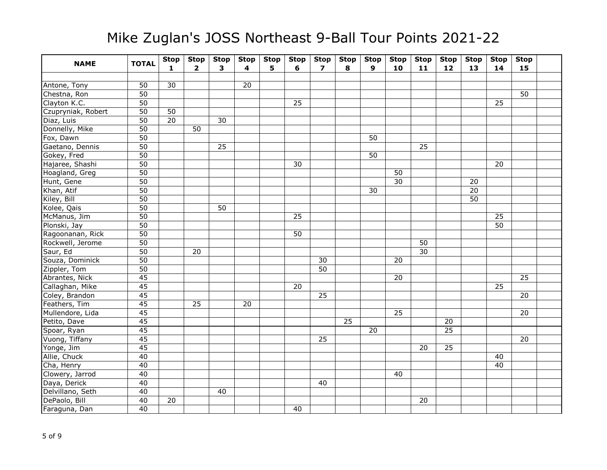| <b>NAME</b>        | <b>TOTAL</b>    | <b>Stop</b><br>$\mathbf{1}$ | <b>Stop</b><br>$\overline{2}$ | <b>Stop</b><br>$\overline{\mathbf{3}}$ | <b>Stop</b><br>4 | <b>Stop</b><br>5 | <b>Stop</b><br>6 | <b>Stop</b><br>$\overline{\phantom{a}}$ | <b>Stop</b><br>8 | <b>Stop</b><br>$\mathbf{9}$ | <b>Stop</b><br>10 | <b>Stop</b><br>11 | <b>Stop</b><br>12 | <b>Stop</b><br>13 | <b>Stop</b><br>14 | <b>Stop</b><br>15 |  |
|--------------------|-----------------|-----------------------------|-------------------------------|----------------------------------------|------------------|------------------|------------------|-----------------------------------------|------------------|-----------------------------|-------------------|-------------------|-------------------|-------------------|-------------------|-------------------|--|
|                    |                 |                             |                               |                                        |                  |                  |                  |                                         |                  |                             |                   |                   |                   |                   |                   |                   |  |
| Antone, Tony       | 50              | $\overline{30}$             |                               |                                        | 20               |                  |                  |                                         |                  |                             |                   |                   |                   |                   |                   |                   |  |
| Chestna, Ron       | 50              |                             |                               |                                        |                  |                  |                  |                                         |                  |                             |                   |                   |                   |                   |                   | 50                |  |
| Clayton K.C.       | $\overline{50}$ |                             |                               |                                        |                  |                  | 25               |                                         |                  |                             |                   |                   |                   |                   | 25                |                   |  |
| Czupryniak, Robert | 50              | 50                          |                               |                                        |                  |                  |                  |                                         |                  |                             |                   |                   |                   |                   |                   |                   |  |
| Diaz, Luis         | $\overline{50}$ | $\overline{20}$             |                               | 30                                     |                  |                  |                  |                                         |                  |                             |                   |                   |                   |                   |                   |                   |  |
| Donnelly, Mike     | 50              |                             | 50                            |                                        |                  |                  |                  |                                         |                  |                             |                   |                   |                   |                   |                   |                   |  |
| Fox, Dawn          | $\overline{50}$ |                             |                               |                                        |                  |                  |                  |                                         |                  | 50                          |                   |                   |                   |                   |                   |                   |  |
| Gaetano, Dennis    | $\overline{50}$ |                             |                               | 25                                     |                  |                  |                  |                                         |                  |                             |                   | $\overline{25}$   |                   |                   |                   |                   |  |
| Gokey, Fred        | 50              |                             |                               |                                        |                  |                  |                  |                                         |                  | 50                          |                   |                   |                   |                   |                   |                   |  |
| Hajaree, Shashi    | $\overline{50}$ |                             |                               |                                        |                  |                  | 30               |                                         |                  |                             |                   |                   |                   |                   | 20                |                   |  |
| Hoagland, Greg     | $\overline{50}$ |                             |                               |                                        |                  |                  |                  |                                         |                  |                             | $\overline{50}$   |                   |                   |                   |                   |                   |  |
| Hunt, Gene         | 50              |                             |                               |                                        |                  |                  |                  |                                         |                  |                             | 30                |                   |                   | 20                |                   |                   |  |
| Khan, Atif         | 50              |                             |                               |                                        |                  |                  |                  |                                         |                  | 30                          |                   |                   |                   | 20                |                   |                   |  |
| Kiley, Bill        | 50              |                             |                               |                                        |                  |                  |                  |                                         |                  |                             |                   |                   |                   | 50                |                   |                   |  |
| Kolee, Qais        | $\overline{50}$ |                             |                               | 50                                     |                  |                  |                  |                                         |                  |                             |                   |                   |                   |                   |                   |                   |  |
| McManus, Jim       | $\overline{50}$ |                             |                               |                                        |                  |                  | $\overline{25}$  |                                         |                  |                             |                   |                   |                   |                   | 25                |                   |  |
| Plonski, Jay       | 50              |                             |                               |                                        |                  |                  |                  |                                         |                  |                             |                   |                   |                   |                   | $\overline{50}$   |                   |  |
| Ragoonanan, Rick   | 50              |                             |                               |                                        |                  |                  | 50               |                                         |                  |                             |                   |                   |                   |                   |                   |                   |  |
| Rockwell, Jerome   | 50              |                             |                               |                                        |                  |                  |                  |                                         |                  |                             |                   | 50                |                   |                   |                   |                   |  |
| Saur, Ed           | $\overline{50}$ |                             | $\overline{20}$               |                                        |                  |                  |                  |                                         |                  |                             |                   | $\overline{30}$   |                   |                   |                   |                   |  |
| Souza, Dominick    | 50              |                             |                               |                                        |                  |                  |                  | 30                                      |                  |                             | 20                |                   |                   |                   |                   |                   |  |
| Zippler, Tom       | $\overline{50}$ |                             |                               |                                        |                  |                  |                  | $\overline{50}$                         |                  |                             |                   |                   |                   |                   |                   |                   |  |
| Abrantes, Nick     | $\overline{45}$ |                             |                               |                                        |                  |                  |                  |                                         |                  |                             | 20                |                   |                   |                   |                   | $\overline{25}$   |  |
| Callaghan, Mike    | 45              |                             |                               |                                        |                  |                  | 20               |                                         |                  |                             |                   |                   |                   |                   | 25                |                   |  |
| Coley, Brandon     | 45              |                             |                               |                                        |                  |                  |                  | 25                                      |                  |                             |                   |                   |                   |                   |                   | 20                |  |
| Feathers, Tim      | 45              |                             | 25                            |                                        | 20               |                  |                  |                                         |                  |                             |                   |                   |                   |                   |                   |                   |  |
| Mullendore, Lida   | $\overline{45}$ |                             |                               |                                        |                  |                  |                  |                                         |                  |                             | 25                |                   |                   |                   |                   | 20                |  |
| Petito, Dave       | 45              |                             |                               |                                        |                  |                  |                  |                                         | $\overline{25}$  |                             |                   |                   | 20                |                   |                   |                   |  |
| Spoar, Ryan        | 45              |                             |                               |                                        |                  |                  |                  |                                         |                  | 20                          |                   |                   | $\overline{25}$   |                   |                   |                   |  |
| Vuong, Tiffany     | 45              |                             |                               |                                        |                  |                  |                  | 25                                      |                  |                             |                   |                   |                   |                   |                   | 20                |  |
| Yonge, Jim         | 45              |                             |                               |                                        |                  |                  |                  |                                         |                  |                             |                   | 20                | 25                |                   |                   |                   |  |
| Allie, Chuck       | 40              |                             |                               |                                        |                  |                  |                  |                                         |                  |                             |                   |                   |                   |                   | 40                |                   |  |
| Cha, Henry         | 40              |                             |                               |                                        |                  |                  |                  |                                         |                  |                             |                   |                   |                   |                   | 40                |                   |  |
| Clowery, Jarrod    | 40              |                             |                               |                                        |                  |                  |                  |                                         |                  |                             | 40                |                   |                   |                   |                   |                   |  |
| Daya, Derick       | 40              |                             |                               |                                        |                  |                  |                  | 40                                      |                  |                             |                   |                   |                   |                   |                   |                   |  |
| Delvillano, Seth   | 40              |                             |                               | 40                                     |                  |                  |                  |                                         |                  |                             |                   |                   |                   |                   |                   |                   |  |
| DePaolo, Bill      | 40              | 20                          |                               |                                        |                  |                  |                  |                                         |                  |                             |                   | 20                |                   |                   |                   |                   |  |
| Faraguna, Dan      | 40              |                             |                               |                                        |                  |                  | 40               |                                         |                  |                             |                   |                   |                   |                   |                   |                   |  |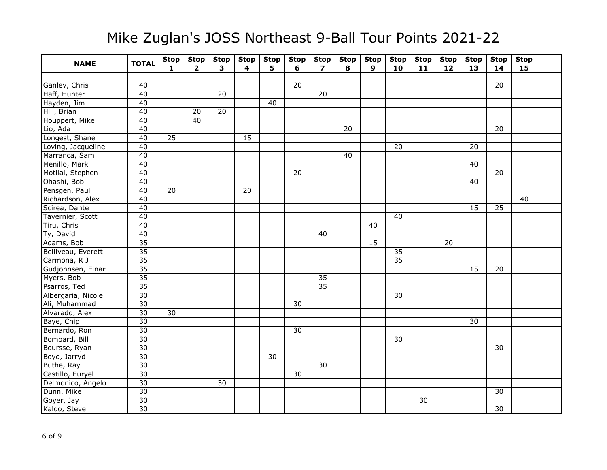| <b>NAME</b>        | <b>TOTAL</b>    | <b>Stop</b><br>$\mathbf{1}$ | <b>Stop</b><br>$\overline{2}$ | <b>Stop</b><br>$\overline{\mathbf{3}}$ | <b>Stop</b><br>4 | <b>Stop</b><br>5. | <b>Stop</b><br>6 | <b>Stop</b><br>$\overline{\phantom{a}}$ | <b>Stop</b><br>8 | <b>Stop</b><br>9 | <b>Stop</b><br>10 | <b>Stop</b><br>11 | <b>Stop</b><br>12 | <b>Stop</b><br>13 | <b>Stop</b><br>14 | <b>Stop</b><br>15 |  |
|--------------------|-----------------|-----------------------------|-------------------------------|----------------------------------------|------------------|-------------------|------------------|-----------------------------------------|------------------|------------------|-------------------|-------------------|-------------------|-------------------|-------------------|-------------------|--|
|                    |                 |                             |                               |                                        |                  |                   |                  |                                         |                  |                  |                   |                   |                   |                   |                   |                   |  |
| Ganley, Chris      | 40              |                             |                               |                                        |                  |                   | 20               |                                         |                  |                  |                   |                   |                   |                   | 20                |                   |  |
| Haff, Hunter       | 40              |                             |                               | 20                                     |                  |                   |                  | 20                                      |                  |                  |                   |                   |                   |                   |                   |                   |  |
| Hayden, Jim        | 40              |                             |                               |                                        |                  | 40                |                  |                                         |                  |                  |                   |                   |                   |                   |                   |                   |  |
| Hill, Brian        | 40              |                             | 20                            | 20                                     |                  |                   |                  |                                         |                  |                  |                   |                   |                   |                   |                   |                   |  |
| Houppert, Mike     | 40              |                             | 40                            |                                        |                  |                   |                  |                                         |                  |                  |                   |                   |                   |                   |                   |                   |  |
| Lio, Ada           | 40              |                             |                               |                                        |                  |                   |                  |                                         | 20               |                  |                   |                   |                   |                   | 20                |                   |  |
| Longest, Shane     | 40              | $\overline{25}$             |                               |                                        | 15               |                   |                  |                                         |                  |                  |                   |                   |                   |                   |                   |                   |  |
| Loving, Jacqueline | 40              |                             |                               |                                        |                  |                   |                  |                                         |                  |                  | 20                |                   |                   | 20                |                   |                   |  |
| Marranca, Sam      | 40              |                             |                               |                                        |                  |                   |                  |                                         | 40               |                  |                   |                   |                   |                   |                   |                   |  |
| Menillo, Mark      | 40              |                             |                               |                                        |                  |                   |                  |                                         |                  |                  |                   |                   |                   | $\overline{40}$   |                   |                   |  |
| Motilal, Stephen   | 40              |                             |                               |                                        |                  |                   | 20               |                                         |                  |                  |                   |                   |                   |                   | 20                |                   |  |
| Ohashi, Bob        | 40              |                             |                               |                                        |                  |                   |                  |                                         |                  |                  |                   |                   |                   | 40                |                   |                   |  |
| Pensgen, Paul      | 40              | 20                          |                               |                                        | 20               |                   |                  |                                         |                  |                  |                   |                   |                   |                   |                   |                   |  |
| Richardson, Alex   | 40              |                             |                               |                                        |                  |                   |                  |                                         |                  |                  |                   |                   |                   |                   |                   | 40                |  |
| Scirea, Dante      | 40              |                             |                               |                                        |                  |                   |                  |                                         |                  |                  |                   |                   |                   | 15                | 25                |                   |  |
| Tavernier, Scott   | 40              |                             |                               |                                        |                  |                   |                  |                                         |                  |                  | 40                |                   |                   |                   |                   |                   |  |
| Tiru, Chris        | 40              |                             |                               |                                        |                  |                   |                  |                                         |                  | 40               |                   |                   |                   |                   |                   |                   |  |
| Ty, David          | 40              |                             |                               |                                        |                  |                   |                  | 40                                      |                  |                  |                   |                   |                   |                   |                   |                   |  |
| Adams, Bob         | 35              |                             |                               |                                        |                  |                   |                  |                                         |                  | 15               |                   |                   | 20                |                   |                   |                   |  |
| Belliveau, Everett | $\overline{35}$ |                             |                               |                                        |                  |                   |                  |                                         |                  |                  | 35                |                   |                   |                   |                   |                   |  |
| Carmona, R J       | $\overline{35}$ |                             |                               |                                        |                  |                   |                  |                                         |                  |                  | 35                |                   |                   |                   |                   |                   |  |
| Gudjohnsen, Einar  | $\overline{35}$ |                             |                               |                                        |                  |                   |                  |                                         |                  |                  |                   |                   |                   | 15                | 20                |                   |  |
| Myers, Bob         | $\overline{35}$ |                             |                               |                                        |                  |                   |                  | 35                                      |                  |                  |                   |                   |                   |                   |                   |                   |  |
| Psarros, Ted       | $\overline{35}$ |                             |                               |                                        |                  |                   |                  | $\overline{35}$                         |                  |                  |                   |                   |                   |                   |                   |                   |  |
| Albergaria, Nicole | $\overline{30}$ |                             |                               |                                        |                  |                   |                  |                                         |                  |                  | 30                |                   |                   |                   |                   |                   |  |
| Ali, Muhammad      | 30              |                             |                               |                                        |                  |                   | 30               |                                         |                  |                  |                   |                   |                   |                   |                   |                   |  |
| Alvarado, Alex     | $\overline{30}$ | 30                          |                               |                                        |                  |                   |                  |                                         |                  |                  |                   |                   |                   |                   |                   |                   |  |
| Baye, Chip         | $\overline{30}$ |                             |                               |                                        |                  |                   |                  |                                         |                  |                  |                   |                   |                   | $\overline{30}$   |                   |                   |  |
| Bernardo, Ron      | $\overline{30}$ |                             |                               |                                        |                  |                   | 30               |                                         |                  |                  |                   |                   |                   |                   |                   |                   |  |
| Bombard, Bill      | $\overline{30}$ |                             |                               |                                        |                  |                   |                  |                                         |                  |                  | 30                |                   |                   |                   |                   |                   |  |
| Boursse, Ryan      | 30              |                             |                               |                                        |                  |                   |                  |                                         |                  |                  |                   |                   |                   |                   | 30                |                   |  |
| Boyd, Jarryd       | $\overline{30}$ |                             |                               |                                        |                  | 30                |                  |                                         |                  |                  |                   |                   |                   |                   |                   |                   |  |
| Buthe, Ray         | 30              |                             |                               |                                        |                  |                   |                  | 30                                      |                  |                  |                   |                   |                   |                   |                   |                   |  |
| Castillo, Euryel   | 30              |                             |                               |                                        |                  |                   | $\overline{30}$  |                                         |                  |                  |                   |                   |                   |                   |                   |                   |  |
| Delmonico, Angelo  | 30              |                             |                               | $\overline{30}$                        |                  |                   |                  |                                         |                  |                  |                   |                   |                   |                   |                   |                   |  |
| Dunn, Mike         | 30              |                             |                               |                                        |                  |                   |                  |                                         |                  |                  |                   |                   |                   |                   | 30                |                   |  |
| Goyer, Jay         | $\overline{30}$ |                             |                               |                                        |                  |                   |                  |                                         |                  |                  |                   | 30                |                   |                   |                   |                   |  |
| Kaloo, Steve       | 30              |                             |                               |                                        |                  |                   |                  |                                         |                  |                  |                   |                   |                   |                   | 30                |                   |  |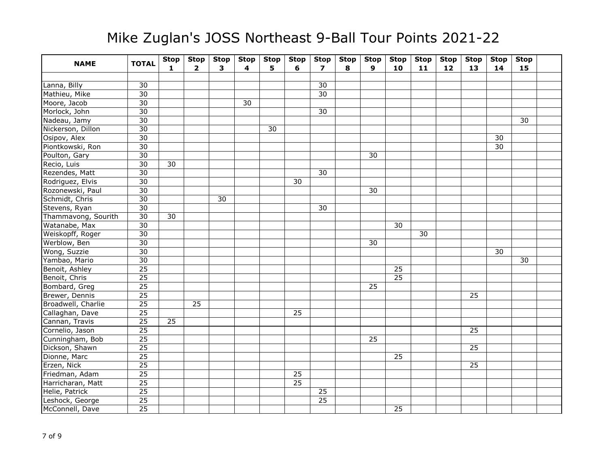| <b>NAME</b>         | <b>TOTAL</b>    | <b>Stop</b><br>$\mathbf{1}$ | <b>Stop</b><br>$\overline{2}$ | <b>Stop</b><br>3 | <b>Stop</b><br>4 | <b>Stop</b><br>5. | <b>Stop</b><br>6 | <b>Stop</b><br>$\overline{ }$ | <b>Stop</b><br>8 | <b>Stop</b><br>9 | <b>Stop</b><br>10 | <b>Stop</b><br>11 | <b>Stop</b><br>12 | <b>Stop</b><br>13 | <b>Stop</b><br>14 | <b>Stop</b><br>15 |  |
|---------------------|-----------------|-----------------------------|-------------------------------|------------------|------------------|-------------------|------------------|-------------------------------|------------------|------------------|-------------------|-------------------|-------------------|-------------------|-------------------|-------------------|--|
|                     |                 |                             |                               |                  |                  |                   |                  |                               |                  |                  |                   |                   |                   |                   |                   |                   |  |
| Lanna, Billy        | 30              |                             |                               |                  |                  |                   |                  | 30                            |                  |                  |                   |                   |                   |                   |                   |                   |  |
| Mathieu, Mike       | 30              |                             |                               |                  |                  |                   |                  | $\overline{30}$               |                  |                  |                   |                   |                   |                   |                   |                   |  |
| Moore, Jacob        | 30              |                             |                               |                  | 30               |                   |                  |                               |                  |                  |                   |                   |                   |                   |                   |                   |  |
| Morlock, John       | 30              |                             |                               |                  |                  |                   |                  | 30                            |                  |                  |                   |                   |                   |                   |                   |                   |  |
| Nadeau, Jamy        | $\overline{30}$ |                             |                               |                  |                  |                   |                  |                               |                  |                  |                   |                   |                   |                   |                   | 30                |  |
| Nickerson, Dillon   | 30              |                             |                               |                  |                  | 30                |                  |                               |                  |                  |                   |                   |                   |                   |                   |                   |  |
| Osipov, Alex        | 30              |                             |                               |                  |                  |                   |                  |                               |                  |                  |                   |                   |                   |                   | 30                |                   |  |
| Piontkowski, Ron    | $\overline{30}$ |                             |                               |                  |                  |                   |                  |                               |                  |                  |                   |                   |                   |                   | $\overline{30}$   |                   |  |
| Poulton, Gary       | 30              |                             |                               |                  |                  |                   |                  |                               |                  | 30               |                   |                   |                   |                   |                   |                   |  |
| Recio, Luis         | $\overline{30}$ | $\overline{30}$             |                               |                  |                  |                   |                  |                               |                  |                  |                   |                   |                   |                   |                   |                   |  |
| Rezendes, Matt      | $\overline{30}$ |                             |                               |                  |                  |                   |                  | $\overline{30}$               |                  |                  |                   |                   |                   |                   |                   |                   |  |
| Rodriguez, Elvis    | 30              |                             |                               |                  |                  |                   | 30               |                               |                  |                  |                   |                   |                   |                   |                   |                   |  |
| Rozonewski, Paul    | 30              |                             |                               |                  |                  |                   |                  |                               |                  | 30               |                   |                   |                   |                   |                   |                   |  |
| Schmidt, Chris      | 30              |                             |                               | 30               |                  |                   |                  |                               |                  |                  |                   |                   |                   |                   |                   |                   |  |
| Stevens, Ryan       | 30              |                             |                               |                  |                  |                   |                  | 30                            |                  |                  |                   |                   |                   |                   |                   |                   |  |
| Thammavong, Sourith | $\overline{30}$ | 30                          |                               |                  |                  |                   |                  |                               |                  |                  |                   |                   |                   |                   |                   |                   |  |
| Watanabe, Max       | $\overline{30}$ |                             |                               |                  |                  |                   |                  |                               |                  |                  | 30                |                   |                   |                   |                   |                   |  |
| Weiskopff, Roger    | 30              |                             |                               |                  |                  |                   |                  |                               |                  |                  |                   | 30                |                   |                   |                   |                   |  |
| Werblow, Ben        | 30              |                             |                               |                  |                  |                   |                  |                               |                  | 30               |                   |                   |                   |                   |                   |                   |  |
| Wong, Suzzie        | $\overline{30}$ |                             |                               |                  |                  |                   |                  |                               |                  |                  |                   |                   |                   |                   | 30                |                   |  |
| Yambao, Mario       | $\overline{30}$ |                             |                               |                  |                  |                   |                  |                               |                  |                  |                   |                   |                   |                   |                   | 30                |  |
| Benoit, Ashley      | $\overline{25}$ |                             |                               |                  |                  |                   |                  |                               |                  |                  | $\overline{25}$   |                   |                   |                   |                   |                   |  |
| Benoit, Chris       | $\overline{25}$ |                             |                               |                  |                  |                   |                  |                               |                  |                  | $\overline{25}$   |                   |                   |                   |                   |                   |  |
| Bombard, Greg       | 25              |                             |                               |                  |                  |                   |                  |                               |                  | 25               |                   |                   |                   |                   |                   |                   |  |
| Brewer, Dennis      | $\overline{25}$ |                             |                               |                  |                  |                   |                  |                               |                  |                  |                   |                   |                   | 25                |                   |                   |  |
| Broadwell, Charlie  | 25              |                             | 25                            |                  |                  |                   |                  |                               |                  |                  |                   |                   |                   |                   |                   |                   |  |
| Callaghan, Dave     | $\overline{25}$ |                             |                               |                  |                  |                   | 25               |                               |                  |                  |                   |                   |                   |                   |                   |                   |  |
| Cannan, Travis      | $\overline{25}$ | 25                          |                               |                  |                  |                   |                  |                               |                  |                  |                   |                   |                   |                   |                   |                   |  |
| Cornelio, Jason     | 25              |                             |                               |                  |                  |                   |                  |                               |                  |                  |                   |                   |                   | $\overline{25}$   |                   |                   |  |
| Cunningham, Bob     | $\overline{25}$ |                             |                               |                  |                  |                   |                  |                               |                  | 25               |                   |                   |                   |                   |                   |                   |  |
| Dickson, Shawn      | $\overline{25}$ |                             |                               |                  |                  |                   |                  |                               |                  |                  |                   |                   |                   | 25                |                   |                   |  |
| Dionne, Marc        | $\overline{25}$ |                             |                               |                  |                  |                   |                  |                               |                  |                  | $\overline{25}$   |                   |                   |                   |                   |                   |  |
| Erzen, Nick         | 25              |                             |                               |                  |                  |                   |                  |                               |                  |                  |                   |                   |                   | 25                |                   |                   |  |
| Friedman, Adam      | 25              |                             |                               |                  |                  |                   | 25               |                               |                  |                  |                   |                   |                   |                   |                   |                   |  |
| Harricharan, Matt   | $\overline{25}$ |                             |                               |                  |                  |                   | $\overline{25}$  |                               |                  |                  |                   |                   |                   |                   |                   |                   |  |
| Helie, Patrick      | 25              |                             |                               |                  |                  |                   |                  | 25                            |                  |                  |                   |                   |                   |                   |                   |                   |  |
| Leshock, George     | $\overline{25}$ |                             |                               |                  |                  |                   |                  | $\overline{25}$               |                  |                  |                   |                   |                   |                   |                   |                   |  |
| McConnell, Dave     | 25              |                             |                               |                  |                  |                   |                  |                               |                  |                  | $\overline{25}$   |                   |                   |                   |                   |                   |  |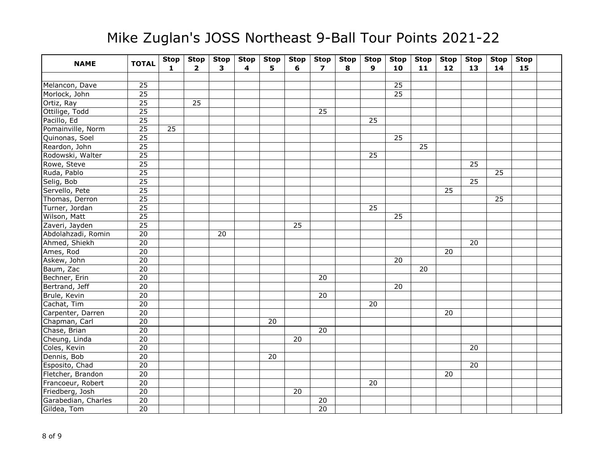| <b>NAME</b>         | <b>TOTAL</b>    | <b>Stop</b><br>$\mathbf{1}$ | <b>Stop</b><br>$\overline{2}$ | <b>Stop</b><br>3 | <b>Stop</b><br>4 | <b>Stop</b><br>5 | <b>Stop</b><br>6 | <b>Stop</b><br>$\overline{ }$ | <b>Stop</b><br>8 | <b>Stop</b><br>9 | <b>Stop</b><br>10 | <b>Stop</b><br>11 | <b>Stop</b><br>12 | <b>Stop</b><br>13 | <b>Stop</b><br>14 | <b>Stop</b><br>15 |  |
|---------------------|-----------------|-----------------------------|-------------------------------|------------------|------------------|------------------|------------------|-------------------------------|------------------|------------------|-------------------|-------------------|-------------------|-------------------|-------------------|-------------------|--|
|                     |                 |                             |                               |                  |                  |                  |                  |                               |                  |                  |                   |                   |                   |                   |                   |                   |  |
| Melancon, Dave      | 25              |                             |                               |                  |                  |                  |                  |                               |                  |                  | $\overline{25}$   |                   |                   |                   |                   |                   |  |
| Morlock, John       | 25              |                             |                               |                  |                  |                  |                  |                               |                  |                  | $\overline{25}$   |                   |                   |                   |                   |                   |  |
| Ortiz, Ray          | $\overline{25}$ |                             | $\overline{25}$               |                  |                  |                  |                  |                               |                  |                  |                   |                   |                   |                   |                   |                   |  |
| Ottilige, Todd      | 25              |                             |                               |                  |                  |                  |                  | 25                            |                  |                  |                   |                   |                   |                   |                   |                   |  |
| Pacillo, Ed         | $\overline{25}$ |                             |                               |                  |                  |                  |                  |                               |                  | 25               |                   |                   |                   |                   |                   |                   |  |
| Pomainville, Norm   | $\overline{25}$ | 25                          |                               |                  |                  |                  |                  |                               |                  |                  |                   |                   |                   |                   |                   |                   |  |
| Quinonas, Soel      | $\overline{25}$ |                             |                               |                  |                  |                  |                  |                               |                  |                  | $\overline{25}$   |                   |                   |                   |                   |                   |  |
| Reardon, John       | $\overline{25}$ |                             |                               |                  |                  |                  |                  |                               |                  |                  |                   | 25                |                   |                   |                   |                   |  |
| Rodowski, Walter    | $\overline{25}$ |                             |                               |                  |                  |                  |                  |                               |                  | 25               |                   |                   |                   |                   |                   |                   |  |
| Rowe, Steve         | $\overline{25}$ |                             |                               |                  |                  |                  |                  |                               |                  |                  |                   |                   |                   | $\overline{25}$   |                   |                   |  |
| Ruda, Pablo         | $\overline{25}$ |                             |                               |                  |                  |                  |                  |                               |                  |                  |                   |                   |                   |                   | $\overline{25}$   |                   |  |
| Selig, Bob          | $\overline{25}$ |                             |                               |                  |                  |                  |                  |                               |                  |                  |                   |                   |                   | $\overline{25}$   |                   |                   |  |
| Servello, Pete      | $\overline{25}$ |                             |                               |                  |                  |                  |                  |                               |                  |                  |                   |                   | 25                |                   |                   |                   |  |
| Thomas, Derron      | $\overline{25}$ |                             |                               |                  |                  |                  |                  |                               |                  |                  |                   |                   |                   |                   | 25                |                   |  |
| Turner, Jordan      | $\overline{25}$ |                             |                               |                  |                  |                  |                  |                               |                  | $\overline{25}$  |                   |                   |                   |                   |                   |                   |  |
| Wilson, Matt        | $\overline{25}$ |                             |                               |                  |                  |                  |                  |                               |                  |                  | 25                |                   |                   |                   |                   |                   |  |
| Zaveri, Jayden      | $\overline{25}$ |                             |                               |                  |                  |                  | $\overline{25}$  |                               |                  |                  |                   |                   |                   |                   |                   |                   |  |
| Abdolahzadi, Romin  | $\overline{20}$ |                             |                               | 20               |                  |                  |                  |                               |                  |                  |                   |                   |                   |                   |                   |                   |  |
| Ahmed, Shiekh       | 20              |                             |                               |                  |                  |                  |                  |                               |                  |                  |                   |                   |                   | 20                |                   |                   |  |
| Ames, Rod           | $\overline{20}$ |                             |                               |                  |                  |                  |                  |                               |                  |                  |                   |                   | $\overline{20}$   |                   |                   |                   |  |
| Askew, John         | $\overline{20}$ |                             |                               |                  |                  |                  |                  |                               |                  |                  | 20                |                   |                   |                   |                   |                   |  |
| Baum, Zac           | $\overline{20}$ |                             |                               |                  |                  |                  |                  |                               |                  |                  |                   | $\overline{20}$   |                   |                   |                   |                   |  |
| Bechner, Erin       | $\overline{20}$ |                             |                               |                  |                  |                  |                  | $\overline{20}$               |                  |                  |                   |                   |                   |                   |                   |                   |  |
| Bertrand, Jeff      | 20              |                             |                               |                  |                  |                  |                  |                               |                  |                  | 20                |                   |                   |                   |                   |                   |  |
| Brule, Kevin        | $\overline{20}$ |                             |                               |                  |                  |                  |                  | 20                            |                  |                  |                   |                   |                   |                   |                   |                   |  |
| Cachat, Tim         | $\overline{20}$ |                             |                               |                  |                  |                  |                  |                               |                  | 20               |                   |                   |                   |                   |                   |                   |  |
| Carpenter, Darren   | $\overline{20}$ |                             |                               |                  |                  |                  |                  |                               |                  |                  |                   |                   | 20                |                   |                   |                   |  |
| Chapman, Carl       | $\overline{20}$ |                             |                               |                  |                  | 20               |                  |                               |                  |                  |                   |                   |                   |                   |                   |                   |  |
| Chase, Brian        | $\overline{20}$ |                             |                               |                  |                  |                  |                  | 20                            |                  |                  |                   |                   |                   |                   |                   |                   |  |
| Cheung, Linda       | $\overline{20}$ |                             |                               |                  |                  |                  | 20               |                               |                  |                  |                   |                   |                   |                   |                   |                   |  |
| Coles, Kevin        | $\overline{20}$ |                             |                               |                  |                  |                  |                  |                               |                  |                  |                   |                   |                   | 20                |                   |                   |  |
| Dennis, Bob         | $\overline{20}$ |                             |                               |                  |                  | 20               |                  |                               |                  |                  |                   |                   |                   |                   |                   |                   |  |
| Esposito, Chad      | $\overline{20}$ |                             |                               |                  |                  |                  |                  |                               |                  |                  |                   |                   |                   | $\overline{20}$   |                   |                   |  |
| Fletcher, Brandon   | 20              |                             |                               |                  |                  |                  |                  |                               |                  |                  |                   |                   | 20                |                   |                   |                   |  |
| Francoeur, Robert   | $\overline{20}$ |                             |                               |                  |                  |                  |                  |                               |                  | 20               |                   |                   |                   |                   |                   |                   |  |
| Friedberg, Josh     | 20              |                             |                               |                  |                  |                  | 20               |                               |                  |                  |                   |                   |                   |                   |                   |                   |  |
| Garabedian, Charles | $\overline{20}$ |                             |                               |                  |                  |                  |                  | 20                            |                  |                  |                   |                   |                   |                   |                   |                   |  |
| Gildea, Tom         | $\overline{20}$ |                             |                               |                  |                  |                  |                  | $\overline{20}$               |                  |                  |                   |                   |                   |                   |                   |                   |  |